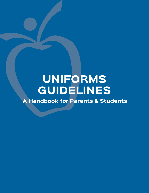# UNIFORMS GUIDELINES

A Handbook for Parents & Students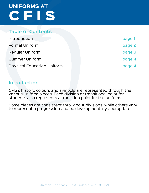#### **Table of Contents**

| Introduction                      | page 1 |
|-----------------------------------|--------|
| <b>Formal Uniform</b>             | page 2 |
| <b>Regular Uniform</b>            | page 3 |
| <b>Summer Uniform</b>             | page 4 |
| <b>Physical Education Uniform</b> | page 4 |

### **Introduction**

CFIS's history, colours and symbols are represented through the various uniform pieces. Each division or transitional point for students also represents a transition point for the uniform.

Some pieces are consistent throughout divisions, while others vary to represent a progression and be developmentally appropriate.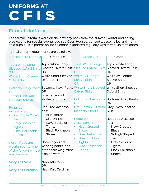### **Formal Uniform**

The formal uniform is worn on the first day back from the summer, winter and spring breaks, and for special events such as Open Houses, concerts, assemblies and many field trips. CFIS's parent online calendar is updated regularly with formal uniform dates.

Formal uniform requirments are as follows:

| <b>Preschool to Grade 3</b>                                                                                                                                                                                                                                                           | Grade 4-6                                                                                                                                                                                                                                                                                                               | Grade 7-9                                                                                                                                                                                                                                                         | Grade 10-12                                                                                                                                                                               |
|---------------------------------------------------------------------------------------------------------------------------------------------------------------------------------------------------------------------------------------------------------------------------------------|-------------------------------------------------------------------------------------------------------------------------------------------------------------------------------------------------------------------------------------------------------------------------------------------------------------------------|-------------------------------------------------------------------------------------------------------------------------------------------------------------------------------------------------------------------------------------------------------------------|-------------------------------------------------------------------------------------------------------------------------------------------------------------------------------------------|
| <b>Tops: White Long-</b><br><b>Sleeved Oxford Shirt</b><br><b>OR</b><br><b>White Short-Sleeved</b><br><b>Oxford Shirt</b>                                                                                                                                                             | Tops: White Long-<br><b>Sleeved Oxford Shirt</b><br><b>OR</b><br>White Short-Sleeved<br><b>Oxford Shirt</b>                                                                                                                                                                                                             | <b>Tops: White Long-</b><br><b>Sleeved Oxford Shirt</b><br><b>OR</b><br>White 3/4 Length<br><b>Sleeve Shirt</b><br><b>OR</b>                                                                                                                                      | Tops: White Long-<br><b>Sleeved Oxford Shirt</b><br><b>OR</b><br>White 3/4 Length<br><b>Sleeve Shirt</b><br><b>OR</b>                                                                     |
| <b>OR</b><br><b>Tartan Tunic With</b><br><b>Modesty Shorts</b>                                                                                                                                                                                                                        | Bottoms: Navy Pants Bottoms: Navy Pants White Short-Sleeved<br><b>OR</b><br><b>Blue Tartan With</b><br><b>Modesty Shorts</b>                                                                                                                                                                                            | <b>Oxford Shirt</b><br><b>OR</b>                                                                                                                                                                                                                                  | White Short-Sleeved<br>Oxford Shirt<br>Bottoms: Grey Pants Bottoms: Grey Pants<br>OR <sub>1</sub>                                                                                         |
| <b>Required</b><br><b>Accessories:</b><br>Red Apple Clip-On<br><b>Tie</b><br><b>Navy Socks or</b><br><b>Tights</b><br><b>Black Polishable</b><br><b>Shoes</b><br>Note - If you are<br>wearing pants, one<br>also be worn:<br><b>Navy Knit Vest</b><br><b>OR</b><br>Navy Knit Cardigan | <b>Required Accesso-</b><br>ries:<br><b>Blue Tartan</b><br>Clip-On Tie<br>Navy Socks or<br><b>Tights</b><br><b>Black Polishable</b><br><b>Shoes</b><br>Note - If you are<br>wearing pants, one<br>of the following must $ $ of the following must<br>also be worn:<br>Navy Knit Vest<br><b>OR</b><br>Navy Knit Cardigan | Grey Tartan Kilt With Grey Lycra Pleated<br><b>Modesty Shorts</b><br><b>Required</b><br><b>Accessories:</b><br><b>Navy Crested</b><br><b>Blazer</b><br><b>Grey Tartan Tie</b><br><b>Grey Socks or</b><br><b>Tights</b><br><b>Black Polishable</b><br><b>Shoes</b> | <b>Skirt</b><br><b>Required Accesso-</b><br>ries:<br>Navy Crested<br><b>Blazer</b><br>Sr High Striped<br>Tie<br>Grey Socks or<br><b>Tights</b><br><b>Black Polishable</b><br><b>Shoes</b> |
|                                                                                                                                                                                                                                                                                       |                                                                                                                                                                                                                                                                                                                         |                                                                                                                                                                                                                                                                   |                                                                                                                                                                                           |

Uniform Handbook - last updated August 2021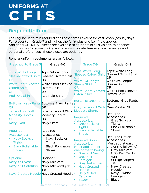### **Regular Uniform**

The regular uniform is required at all other times except for vesti-choix (casual) days. For students in Grade 7 and higher, the "shirt plus one item" rule applies. Additional OPTIONAL pieces are available to students in all divisions, to enhance opportunities for some choice and to accommodate temperature variances and personal preferences. These pieces are optional.

Regular uniform requirments are as follows:

| Tops: White Long-<br><b>Tops: White Long-</b><br><b>Tops: White Long-</b><br>Tops: White Long-<br><b>Sleeved Oxford Shirt</b><br><b>Sleeved Oxford Shirt</b><br><b>Sleeved Oxford Shirt</b><br><b>Sleeved Oxford Shirt</b><br><b>OR</b><br><b>OR</b><br><b>OR</b><br><b>OR</b><br>White 3/4 Length<br>White 3/4 Length<br><b>White Short-Sleeved</b><br>White Short-Sleeved<br><b>Sleeve Shirt</b><br><b>Sleeve Shirt</b><br><b>OR</b><br><b>OR</b><br><b>Oxford Shirt</b><br><b>Oxford Shirt</b><br><b>White Short-Sleeved</b><br>White Short-Sleeved<br><b>OR</b><br><b>OR</b><br><b>Oxford Shirt</b><br><b>Oxford Shirt</b><br><b>Red Polo Shirt</b><br><b>Red Polo Shirt</b><br><b>Bottoms: Grey Pants Bottoms: Grey Pants</b><br>Bottoms: Navy Pants Bottoms: Navy Pants <sub>OR</sub><br><b>OR</b><br><b>OR</b><br><b>Grey Pleated Skirt</b><br><b>OR</b><br><b>Grey Tartan Kilt With</b><br><b>Modesty Shorts</b><br><b>Tartan Tunic With</b><br><b>Blue Tartan Kilt With</b><br>Required<br><b>Modesty Shorts</b><br><b>Modesty Shorts</b><br>Accessories:<br><b>Required</b><br><b>OR</b><br>OR<br>Grey Socks or<br><b>Accessories:</b><br>Navy Skort<br>Navy Skort<br><b>Grey Socks or</b><br><b>Tights</b><br><b>Black Polishable</b><br><b>Tights</b><br><b>Black Polishable</b><br>Shoes<br>Required<br>Required<br><b>Shoes</b><br>Accessories:<br>Accessories:<br><b>Required Option</b><br><b>Navy Socks or</b><br>Navy Socks or<br><b>Required Option</b><br>Accessories:<br><b>Tights</b><br><b>Tights</b><br>Must add atleast<br><b>Accessories:</b><br><b>Black Polishable</b><br><b>Black Polishable</b><br>Must add atleast<br>one of the following)<br>one of the following)<br><b>Grey Knit Vest</b><br><b>Shoes</b><br><b>Shoes</b><br>Grey Knit Cardi-<br><b>Grey Knit Vest</b> | <b>Preschool to Grade 3</b> | Grade 4-6 | Grade 7-9        | Grade 10-12 |
|-----------------------------------------------------------------------------------------------------------------------------------------------------------------------------------------------------------------------------------------------------------------------------------------------------------------------------------------------------------------------------------------------------------------------------------------------------------------------------------------------------------------------------------------------------------------------------------------------------------------------------------------------------------------------------------------------------------------------------------------------------------------------------------------------------------------------------------------------------------------------------------------------------------------------------------------------------------------------------------------------------------------------------------------------------------------------------------------------------------------------------------------------------------------------------------------------------------------------------------------------------------------------------------------------------------------------------------------------------------------------------------------------------------------------------------------------------------------------------------------------------------------------------------------------------------------------------------------------------------------------------------------------------------------------------------------------------------------------------------------------------------------------------------------------------------|-----------------------------|-----------|------------------|-------------|
|                                                                                                                                                                                                                                                                                                                                                                                                                                                                                                                                                                                                                                                                                                                                                                                                                                                                                                                                                                                                                                                                                                                                                                                                                                                                                                                                                                                                                                                                                                                                                                                                                                                                                                                                                                                                           |                             |           |                  |             |
| Optional:<br>Optional:<br>Sr High Striped<br>Cardigan<br>Navy Knit Vest<br>Navy Knit Vest<br><b>Grey Tartan Tie</b><br>Tie<br>Navy Knit Cardigan<br>Navy Knit Cardigan<br>Navy Crested<br><b>Navy Crested</b><br>Tie<br>Hoodie<br><b>Tie</b><br>Hoodie<br>Navy & White<br>Navy & Red<br>Navy Crested Hoodie Navy Crested Hoodie <sup>®</sup>                                                                                                                                                                                                                                                                                                                                                                                                                                                                                                                                                                                                                                                                                                                                                                                                                                                                                                                                                                                                                                                                                                                                                                                                                                                                                                                                                                                                                                                              |                             |           | <b>Grey Knit</b> | gan         |

Uniform Handbook - last updated August 2021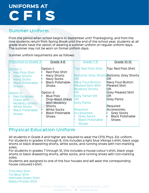### **Summer Uniform**

From the period when school begins in September until Thanksgiving, and from the time students return from Spring Break until the end of the school year, students at all grade levels have the option of wearing a summer uniform on regular uniform days. The summer may not be worn on formal uniform days.

Summer uniform requirments are as follows:

| <b>Preschool to Grade 3</b>                 | Grade 4-6                               | Grade 7-9                                          | <b>Grade 10-12</b>                                      |
|---------------------------------------------|-----------------------------------------|----------------------------------------------------|---------------------------------------------------------|
| Option 1:<br><b>Red Polo Shirt</b>          | Option 1:<br><b>Red Polo Shirt</b>      | <b>Top: Red Polo Shirt</b>                         | Top: Red Polo Shirt                                     |
| <b>Navy Shorts</b><br><b>Navy Socks</b>     | Navy Shorts<br><b>Navy Socks</b>        | IOR.                                               | <b>Bottoms: Grey Shorts Bottoms: Grey Shorts</b><br>OR. |
| <b>Black Polishable</b>                     | <b>Black Polishable</b>                 | Navy Four-Button                                   | Navy Four-Button<br><b>Pleated Skirt</b>                |
| <b>Shoes</b>                                | <b>Shoes</b>                            | <b>Pleated Skirt With</b><br><b>Modesty Shorts</b> | 0R                                                      |
| Option 2:                                   | Option 2:<br><b>Blue Polo</b>           | IOR<br><b>Grey Tartan Kilt</b>                     | <b>Grey Pleated Skirt</b><br>OR.                        |
| <b>Red Gingham</b><br><b>Dress With</b>     | Drop-Waist Dress                        | IOR                                                | <b>Grey Pants</b>                                       |
| <b>Modesty Shorts</b><br><b>White Socks</b> | With Modesty<br><b>Shorts</b>           | <b>Grey Pants</b>                                  | Required                                                |
| <b>Black Polishable</b>                     | <b>White Socks</b>                      | Required                                           | Accessories:                                            |
| <b>Shoes</b>                                | <b>Black Polishable</b><br><b>Shoes</b> | Accessories:<br><b>Grey Socks</b>                  | <b>Grey Socks</b><br><b>Black Polishable</b>            |
|                                             |                                         | <b>Black Polishable</b><br><b>Shoes</b>            | <b>Shoes</b>                                            |

### **Physical Education Uniform**

All students in Grade 4 and higher are required to wear the CFIS Phys. Ed. uniform. For students in grades 4 through 6, this includes a light blue Vikings t-shirt, black yoga shorts or black drawstring shorts, white socks, and running shoes with non-marking soles.

For students in grades 7 through 12, this includes a house-colour t-shirt, black yoga shorts or black drawstring shorts, white socks, and running shoes with non-marking soles.

Students are assigned to one of the four houses and will wear the corresponding house coloured t-shirt.

Thor-Red Shirt Tyr-Blue Shirt Heimdall-Green Shirt Baldur-Purple Shirt